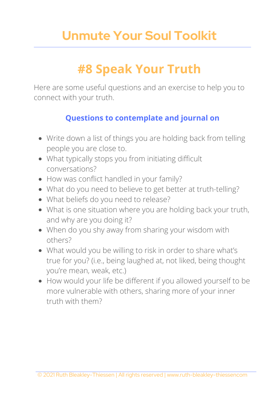## **Unmute Your Soul Toolkit**

# **#8 Speak Your Truth**

Here are some useful questions and an exercise to help you to connect with your truth.

### **Questions to contemplate and journal on**

- Write down a list of things you are holding back from telling people you are close to.
- What typically stops you from initiating difficult conversations?
- How was conflict handled in your family?
- What do you need to believe to get better at truth-telling?
- What beliefs do you need to release?
- What is one situation where you are holding back your truth, and why are you doing it?
- When do you shy away from sharing your wisdom with others?
- What would you be willing to risk in order to share what's true for you? (i.e., being laughed at, not liked, being thought you're mean, weak, etc.)
- How would your life be different if you allowed yourself to be more vulnerable with others, sharing more of your inner truth with them?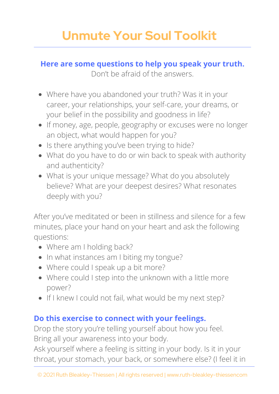# **Unmute Your Soul Toolkit**

#### **Here are some questions to help you speak your truth.**

Don't be afraid of the answers.

- Where have you abandoned your truth? Was it in your career, your relationships, your self-care, your dreams, or your belief in the possibility and goodness in life?
- If money, age, people, geography or excuses were no longer an object, what would happen for you?
- Is there anything you've been trying to hide?
- What do you have to do or win back to speak with authority and authenticity?
- What is your unique message? What do you absolutely believe? What are your deepest desires? What resonates deeply with you?

After you've meditated or been in stillness and silence for a few minutes, place your hand on your heart and ask the following questions:

- Where am I holding back?
- In what instances am I biting my tongue?
- Where could I speak up a bit more?
- Where could I step into the unknown with a little more power?
- If I knew I could not fail, what would be my next step?

### **Do this exercise to connect with your feelings.**

Drop the story you're telling yourself about how you feel. Bring all your awareness into your body.

Ask yourself where a feeling is sitting in your body. Is it in your throat, your stomach, your back, or somewhere else? (I feel it in